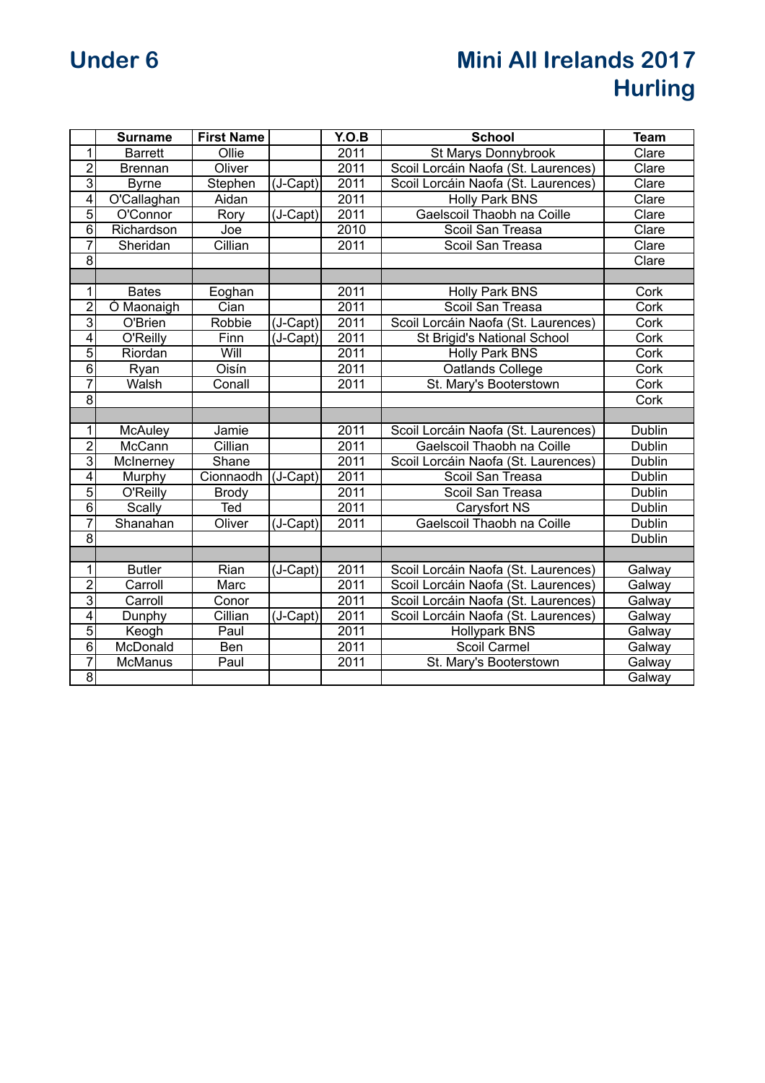## **Under 6 Mini All Irelands 2017 Hurling**

|                         | <b>Surname</b> | <b>First Name</b> |            | Y.O.B             | <b>School</b>                       | <b>Team</b> |
|-------------------------|----------------|-------------------|------------|-------------------|-------------------------------------|-------------|
| $\overline{1}$          | <b>Barrett</b> | Ollie             |            | 2011              | St Marys Donnybrook                 | Clare       |
| $\overline{2}$          | <b>Brennan</b> | Oliver            |            | 2011              | Scoil Lorcáin Naofa (St. Laurences) | Clare       |
| $\overline{3}$          | <b>Byrne</b>   | Stephen           | (J-Capt)   | 2011              | Scoil Lorcáin Naofa (St. Laurences) | Clare       |
| $\overline{\mathbf{4}}$ | O'Callaghan    | Aidan             |            | 2011              | <b>Holly Park BNS</b>               | Clare       |
| $\overline{5}$          | O'Connor       | Rory              | (J-Capt)   | $\overline{2011}$ | Gaelscoil Thaobh na Coille          | Clare       |
| $\overline{6}$          | Richardson     | Joe               |            | 2010              | Scoil San Treasa                    | Clare       |
| $\overline{7}$          | Sheridan       | Cillian           |            | 2011              | Scoil San Treasa                    | Clare       |
| $\overline{8}$          |                |                   |            |                   |                                     | Clare       |
|                         |                |                   |            |                   |                                     |             |
| $\overline{1}$          | <b>Bates</b>   | Eoghan            |            | 2011              | Holly Park BNS                      | Cork        |
| $\overline{2}$          | Ó Maonaigh     | Cian              |            | 2011              | Scoil San Treasa                    | Cork        |
| $\overline{3}$          | O'Brien        | Robbie            | (J-Capt)   | 2011              | Scoil Lorcáin Naofa (St. Laurences) | Cork        |
| $\overline{4}$          | O'Reilly       | Finn              | $(J-Capt)$ | $\overline{2011}$ | St Brigid's National School         | Cork        |
| $\overline{5}$          | Riordan        | Will              |            | 2011              | Holly Park BNS                      | Cork        |
| $\overline{6}$          | Ryan           | Oisín             |            | 2011              | Oatlands College                    | Cork        |
| $\overline{7}$          | Walsh          | Conall            |            | 2011              | St. Mary's Booterstown              | Cork        |
| $\overline{8}$          |                |                   |            |                   |                                     | Cork        |
|                         |                |                   |            |                   |                                     |             |
| $\overline{1}$          | McAuley        | Jamie             |            | 2011              | Scoil Lorcáin Naofa (St. Laurences) | Dublin      |
| $\overline{2}$          | McCann         | Cillian           |            | 2011              | Gaelscoil Thaobh na Coille          | Dublin      |
| $\overline{3}$          | McInerney      | Shane             |            | 2011              | Scoil Lorcáin Naofa (St. Laurences) | Dublin      |
| $\overline{4}$          | Murphy         | Cionnaodh         | $(J-Capt)$ | 2011              | Scoil San Treasa                    | Dublin      |
| $\overline{5}$          | O'Reilly       | <b>Brody</b>      |            | 2011              | Scoil San Treasa                    | Dublin      |
| $\overline{6}$          | Scally         | Ted               |            | $\overline{2011}$ | Carysfort NS                        | Dublin      |
| $\overline{7}$          | Shanahan       | Oliver            | (J-Capt)   | 2011              | Gaelscoil Thaobh na Coille          | Dublin      |
| $\overline{8}$          |                |                   |            |                   |                                     | Dublin      |
|                         |                |                   |            |                   |                                     |             |
| $\overline{1}$          | <b>Butler</b>  | Rian              | $(J-Capt)$ | 2011              | Scoil Lorcáin Naofa (St. Laurences) | Galway      |
| $\overline{2}$          | Carroll        | Marc              |            | 2011              | Scoil Lorcáin Naofa (St. Laurences) | Galway      |
| $\overline{3}$          | Carroll        | Conor             |            | 2011              | Scoil Lorcáin Naofa (St. Laurences) | Galway      |
| $\overline{4}$          | Dunphy         | Cillian           | $(J-Capt)$ | 2011              | Scoil Lorcáin Naofa (St. Laurences) | Galway      |
| $\overline{5}$          | Keogh          | Paul              |            | 2011              | Hollypark BNS                       | Galway      |
| $\overline{6}$          | McDonald       | <b>Ben</b>        |            | 2011              | Scoil Carmel                        | Galway      |
| $\overline{7}$          | McManus        | Paul              |            | 2011              | St. Mary's Booterstown              | Galway      |
| $\overline{8}$          |                |                   |            |                   |                                     | Galway      |